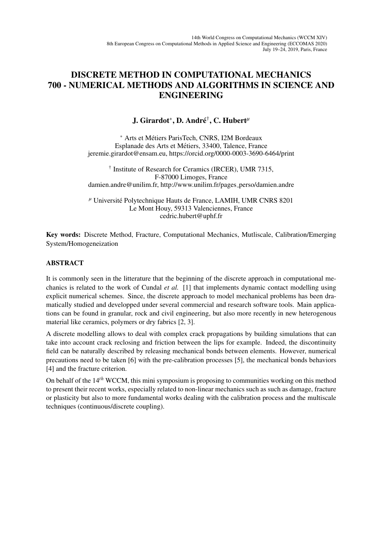## DISCRETE METHOD IN COMPUTATIONAL MECHANICS 700 - NUMERICAL METHODS AND ALGORITHMS IN SCIENCE AND ENGINEERING

## J. Girardot<sup>∗</sup> , D. Andre´ † , C. Hubert*<sup>µ</sup>*

<sup>∗</sup> Arts et Metiers ParisTech, CNRS, I2M Bordeaux ´ Esplanade des Arts et Metiers, 33400, Talence, France ´ jeremie.girardot@ensam.eu, https://orcid.org/0000-0003-3690-6464/print

† Institute of Research for Ceramics (IRCER), UMR 7315, F-87000 Limoges, France damien.andre@unilim.fr, http://www.unilim.fr/pages\_perso/damien.andre

*<sup>µ</sup>* Universite Polytechnique Hauts de France, LAMIH, UMR CNRS 8201 ´ Le Mont Houy, 59313 Valenciennes, France cedric.hubert@uphf.fr

Key words: Discrete Method, Fracture, Computational Mechanics, Mutliscale, Calibration/Emerging System/Homogeneization

## ABSTRACT

It is commonly seen in the litterature that the beginning of the discrete approach in computational mechanics is related to the work of Cundal *et al.* [1] that implements dynamic contact modelling using explicit numerical schemes. Since, the discrete approach to model mechanical problems has been dramatically studied and developped under several commercial and research software tools. Main applications can be found in granular, rock and civil engineering, but also more recently in new heterogenous material like ceramics, polymers or dry fabrics [2, 3].

A discrete modelling allows to deal with complex crack propagations by building simulations that can take into account crack reclosing and friction between the lips for example. Indeed, the discontinuity field can be naturally described by releasing mechanical bonds between elements. However, numerical precautions need to be taken [6] with the pre-calibration processes [5], the mechanical bonds behaviors [4] and the fracture criterion.

On behalf of the 14*th* WCCM, this mini symposium is proposing to communities working on this method to present their recent works, especially related to non-linear mechanics such as such as damage, fracture or plasticity but also to more fundamental works dealing with the calibration process and the multiscale techniques (continuous/discrete coupling).